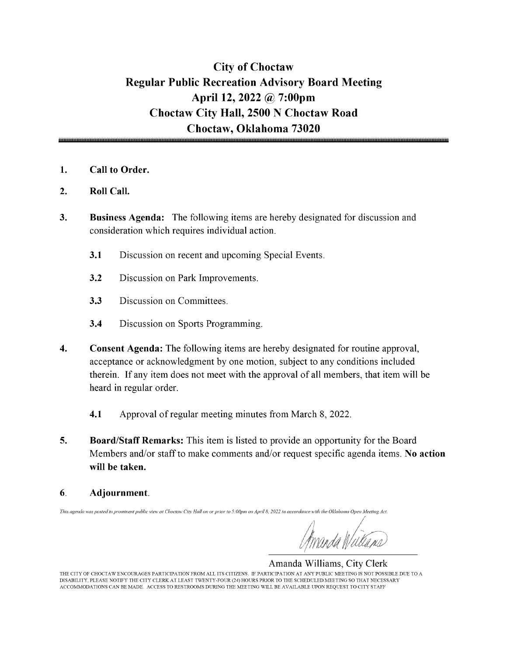# City of Choctaw Regular Public Recreation Advisory Board Meeting April 12, 2022 @ 7:00pm Choctaw City Hall, 2500 N Choctaw Road Choctaw, Oklahoma 73020

- 1. Call to Order.
- 2. Roll Call.
- 3. Business Agenda: The following items are hereby designated for discussion and consideration which requires individual action.
	- 3.1 Discussion on recent and upcoming Special Events.
	- 3.2 Discussion on Park Improvements.
	- 3.3 Discussion on Committees.
	- 3.4 Discussion on Sports Programming.
- 4. Consent Agenda: The following items are hereby designated for routine approval, acceptance or acknowledgment by one motion, subject to any conditions included therein. If any item does not meet with the approval of all members, that item will be heard in regular order.
	- 4.1 Approval of regular meeting minutes from March 8, 2022.
- 5. Board/Staff Remarks: This item is listed to provide an opportunity for the Board Members and/or staff to make comments and/or request specific agenda items. No action will be taken.
- 6. Adjournment.

This agenda was posted in prominent public view at Choctaw City Hall on or prior to 5:00pm on April 8, 2022 in accordance with the Oklahoma Open Meeting Act.

v^

Amanda Williams, City Clerk THE CITY OF CHOCTAW ENCOURAGES PARTICIPATION FROM ALL ITS CITIZENS. IF PARTICIPATION AT ANY PUBLIC MEETING IS NOT POSSIBLE DUE TO A DISABILITY, PLEASE NOTIFY THE CITY CLERK AT LEAST TWENTY-FOUR( 24) HOURS PRIOR TO THE SCHEDULED MEETING SO THAT NECESSARY ACCOMMODATIONS CAN BE MADE. ACCESS TO RESTROOMS DURING THE MEETING WILL BE AVAILABLE UPON REQUEST TO CITY STAFF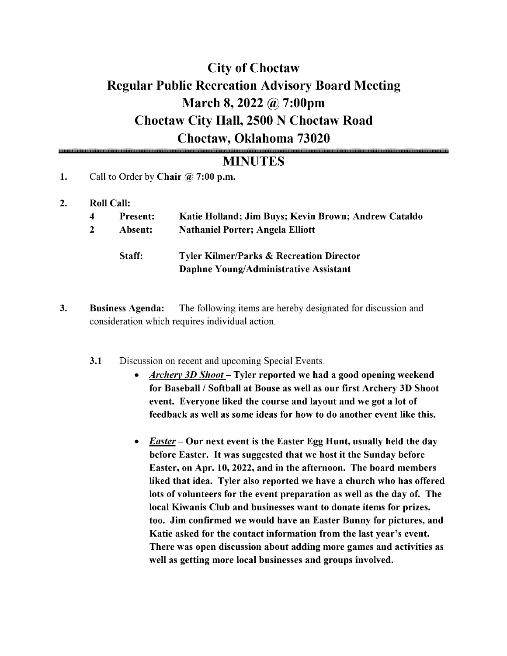# City of Choctaw Regular Public Recreation Advisory Board Meeting March 8, 2022 @ 7:00pm Choctaw City Hall, 2500 N Choctaw Road Choctaw, Oklahoma 73020

# MINUTES

- 1. Call to Order by Chair  $\omega$  7:00 p.m.
- 2. Roll Call:

| 4 | <b>Present:</b><br>Absent: | Katie Holland; Jim Buys; Kevin Brown; Andrew Cataldo<br><b>Nathaniel Porter; Angela Elliott</b> |
|---|----------------------------|-------------------------------------------------------------------------------------------------|
|   | Staff:                     | <b>Tyler Kilmer/Parks &amp; Recreation Director</b><br>Daphne Young/Administrative Assistant    |

- 3. Business Agenda: The following items are hereby designated for discussion and consideration which requires individual action.
	- 3.1 Discussion on recent and upcoming Special Events.
		- Archery 3D Shoot— Tyler reported we had <sup>a</sup> good opening weekend for Baseball/ Softball at Bouse as well as our first Archery 3D Shoot event. Everyone liked the course and layout and we got a lot of feedback as well as some ideas for how to do another event like this.
		- **Easter** Our next event is the Easter Egg Hunt, usually held the day before Easter. It was suggested that we host it the Sunday before Easter, on Apr. 10, 2022, and in the afternoon. The board members liked that idea. Tyler also reported we have <sup>a</sup> church who has offered lots of volunteers for the event preparation as well as the day of. The local Kiwanis Club and businesses want to donate items for prizes, too. Jim confirmed we would have an Easter Bunny for pictures, and Katie asked for the contact information from the last year's event. There was open discussion about adding more games and activities as well as getting more local businesses and groups involved.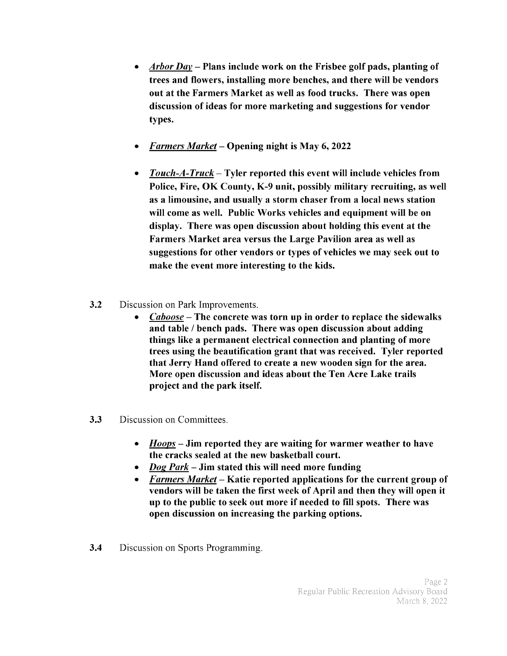- Arbor Day Plans include work on the Frisbee golf pads, planting of  $\bullet$ trees and flowers, installing more benches, and there will be vendors out at the Farmers Market as well as food trucks. There was open discussion of ideas for more marketing and suggestions for vendor types.
- Farmers Market— Opening night is May 6, 2022
- $Touch-A-Truck-Tyler reported this event will include vehicles from$  $\bullet$ Police, Fire, OK County, K-9 unit, possibly military recruiting, as well as a limousine, and usually a storm chaser from a local news station will come as well. Public Works vehicles and equipment will be on display. There was open discussion about holding this event at the Farmers Market area versus the Large Pavilion area as well as suggestions for other vendors or types of vehicles we may seek out to make the event more interesting to the kids.
- 3.2 Discussion on Park Improvements.
	- Caboose— The concrete was torn up in order to replace the sidewalks and table/ bench pads. There was open discussion about adding things like a permanent electrical connection and planting of more trees using the beautification grant that was received. Tyler reported that Jerry Hand offered to create a new wooden sign for the area. More open discussion and ideas about the Ten Acre Lake trails project and the park itself.
- 3.3 Discussion on Committees.
	- Hoops— Jim reported they are waiting for warmer weather to have  $\bullet$ the cracks sealed at the new basketball court.
	- $Dog$  Park Jim stated this will need more funding
	- Farmers Market— Katie reported applications for the current group of vendors will be taken the first week of April and then they will open it up to the public to seek out more if needed to fill spots. There was open discussion on increasing the parking options.
- 3.4 Discussion on Sports Programming.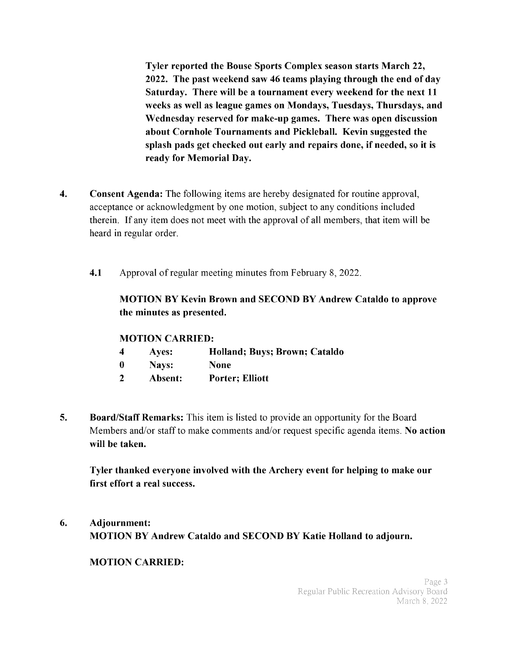Tyler reported the Bouse Sports Complex season starts March 22, 2022. The past weekend saw 46 teams playing through the end of day Saturday. There will be <sup>a</sup> tournament every weekend for the next <sup>11</sup> weeks as well as league games on Mondays, Tuesdays, Thursdays, and Wednesday reserved for make-up games. There was open discussion about Cornhole Tournaments and Pickleball. Kevin suggested the splash pads get checked out early and repairs done, if needed, so it is ready for Memorial Day.

- 4. Consent Agenda: The following items are hereby designated for routine approval, acceptance or acknowledgment by one motion, subject to any conditions included therein. If any item does not meet with the approval of all members, that item will be heard in regular order.
	- 4.1 Approval of regular meeting minutes from February 8, 2022.

## MOTION BY Kevin Brown and SECOND BY Andrew Cataldo to approve the minutes as presented.

### MOTION CARRIED:

- 4 Ayes: Holland; Buys; Brown; Cataldo
- 0 Nays: None
- <sup>2</sup> Absent: Porter; Elliott
- 5. Board/Staff Remarks: This item is listed to provide an opportunity for the Board Members and/or staff to make comments and/or request specific agenda items. No action will be taken.

Tyler thanked everyone involved with the Archery event for helping to make our first effort a real success.

6. Adjournment: MOTION BY Andrew Cataldo and SECOND BY Katie Holland to adjourn.

### MOTION CARRIED: